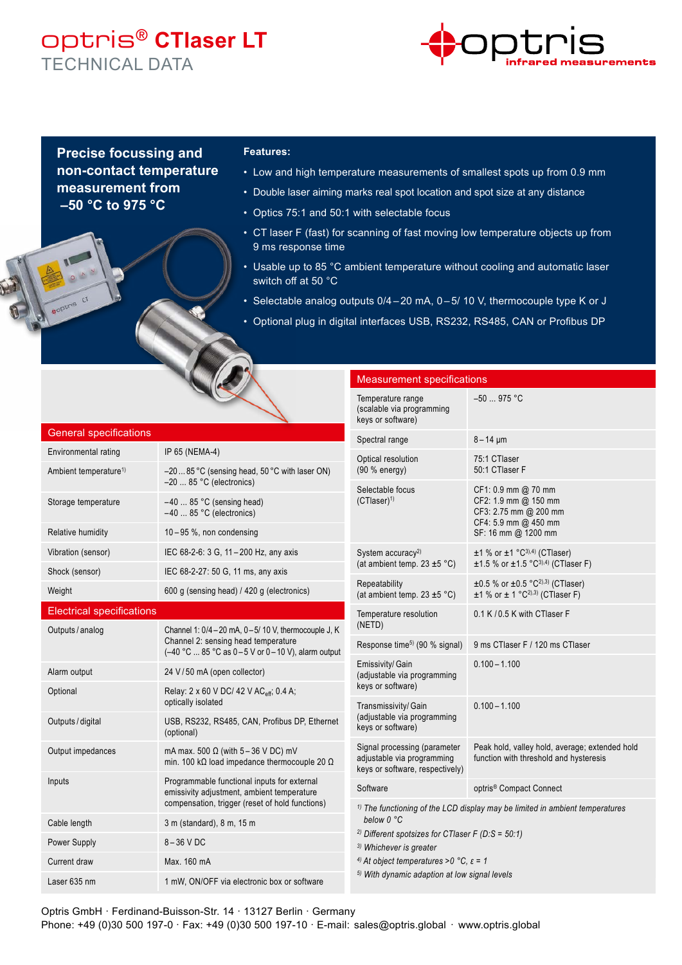## optris® **CTlaser LT** TECHNICAL DATA



**Precise focussing and non-contact temperature measurement from –50 °C to 975 °C** 

#### **Features:**

- Low and high temperature measurements of smallest spots up from 0.9 mm
- Double laser aiming marks real spot location and spot size at any distance
- Optics 75:1 and 50:1 with selectable focus
- CT laser F (fast) for scanning of fast moving low temperature objects up from 9 ms response time
- Usable up to 85 °C ambient temperature without cooling and automatic laser switch off at 50 °C
- Selectable analog outputs 0/4-20 mA, 0-5/ 10 V, thermocouple type K or J
- Optional plug in digital interfaces USB, RS232, RS485, CAN or Profibus DP

Measurement specifications

|                                   | $\sim$                                                                                                                                        | Temperature range<br>(scalable via programming<br>keys or software)                                                                                                                                                                                                                                                                | $-50$ 975 °C                                                                                                        |
|-----------------------------------|-----------------------------------------------------------------------------------------------------------------------------------------------|------------------------------------------------------------------------------------------------------------------------------------------------------------------------------------------------------------------------------------------------------------------------------------------------------------------------------------|---------------------------------------------------------------------------------------------------------------------|
| <b>General specifications</b>     |                                                                                                                                               | Spectral range                                                                                                                                                                                                                                                                                                                     | $8 - 14 \mu m$                                                                                                      |
| Environmental rating              | IP 65 (NEMA-4)                                                                                                                                | Optical resolution                                                                                                                                                                                                                                                                                                                 | 75:1 CTlaser                                                                                                        |
| Ambient temperature <sup>1)</sup> | -2085 °C (sensing head, 50 °C with laser ON)<br>$-20$ 85 °C (electronics)                                                                     | (90 % energy)<br>Selectable focus                                                                                                                                                                                                                                                                                                  | 50:1 CTlaser F                                                                                                      |
| Storage temperature               | $-40$ 85 °C (sensing head)<br>$-40$ 85 °C (electronics)                                                                                       | $(CTlaser)^{1}$                                                                                                                                                                                                                                                                                                                    | CF1: 0.9 mm @ 70 mm<br>CF2: 1.9 mm @ 150 mm<br>CF3: 2.75 mm @ 200 mm<br>CF4: 5.9 mm @ 450 mm<br>SF: 16 mm @ 1200 mm |
| Relative humidity                 | $10 - 95$ %, non condensing                                                                                                                   |                                                                                                                                                                                                                                                                                                                                    |                                                                                                                     |
| Vibration (sensor)                | IEC 68-2-6: 3 G, 11-200 Hz, any axis                                                                                                          | System accuracy <sup>2)</sup><br>(at ambient temp. $23 \pm 5$ °C)                                                                                                                                                                                                                                                                  | $\pm$ 1 % or $\pm$ 1 °C <sup>3),4)</sup> (CTlaser)<br>$\pm 1.5$ % or $\pm 1.5$ °C <sup>3),4)</sup> (CTlaser F)      |
| Shock (sensor)                    | IEC 68-2-27: 50 G, 11 ms, any axis                                                                                                            |                                                                                                                                                                                                                                                                                                                                    |                                                                                                                     |
| Weight                            | 600 g (sensing head) / 420 g (electronics)                                                                                                    | Repeatability<br>(at ambient temp. 23 $\pm$ 5 °C)                                                                                                                                                                                                                                                                                  | $\pm 0.5$ % or $\pm 0.5$ °C <sup>2),3)</sup> (CTlaser)<br>$±1$ % or $± 1$ °C <sup>2),3)</sup> (CTlaser F)           |
| <b>Electrical specifications</b>  |                                                                                                                                               | Temperature resolution<br>(NETD)                                                                                                                                                                                                                                                                                                   | 0.1 K / 0.5 K with CT laser F                                                                                       |
| Outputs / analog                  | Channel 1: 0/4-20 mA, 0-5/ 10 V, thermocouple J, K<br>Channel 2: sensing head temperature<br>(-40 °C  85 °C as 0-5 V or 0-10 V), alarm output | Response time <sup>5)</sup> (90 % signal)                                                                                                                                                                                                                                                                                          | 9 ms CTlaser F / 120 ms CTlaser                                                                                     |
| Alarm output                      | 24 V/50 mA (open collector)                                                                                                                   | Emissivity/ Gain<br>(adjustable via programming                                                                                                                                                                                                                                                                                    | $0.100 - 1.100$                                                                                                     |
| Optional                          | Relay: 2 x 60 V DC/ 42 V AC <sub>eff</sub> , 0.4 A;<br>optically isolated                                                                     | keys or software)<br>Transmissivity/Gain                                                                                                                                                                                                                                                                                           | $0.100 - 1.100$                                                                                                     |
| Outputs / digital                 | USB, RS232, RS485, CAN, Profibus DP, Ethernet<br>(optional)                                                                                   | (adjustable via programming<br>keys or software)                                                                                                                                                                                                                                                                                   |                                                                                                                     |
| Output impedances                 | mA max. 500 $\Omega$ (with 5 - 36 V DC) mV<br>min. 100 kΩ load impedance thermocouple 20 Ω                                                    | Signal processing (parameter<br>adjustable via programming<br>keys or software, respectively)                                                                                                                                                                                                                                      | Peak hold, valley hold, average; extended hold<br>function with threshold and hysteresis                            |
| Inputs                            | Programmable functional inputs for external<br>emissivity adjustment, ambient temperature<br>compensation, trigger (reset of hold functions)  | Software                                                                                                                                                                                                                                                                                                                           | optris <sup>®</sup> Compact Connect                                                                                 |
|                                   |                                                                                                                                               | $1)$ The functioning of the LCD display may be limited in ambient temperatures<br>below 0 °C<br><sup>2)</sup> Different spotsizes for CTIaser F (D:S = $50:1$ )<br><sup>3)</sup> Whichever is greater<br><sup>4)</sup> At object temperatures >0 °C, $\varepsilon$ = 1<br><sup>5)</sup> With dynamic adaption at low signal levels |                                                                                                                     |
| Cable length                      | 3 m (standard), 8 m, 15 m                                                                                                                     |                                                                                                                                                                                                                                                                                                                                    |                                                                                                                     |
| Power Supply                      | 8-36 V DC                                                                                                                                     |                                                                                                                                                                                                                                                                                                                                    |                                                                                                                     |
| Current draw                      | Max. 160 mA                                                                                                                                   |                                                                                                                                                                                                                                                                                                                                    |                                                                                                                     |
| Laser 635 nm                      | 1 mW, ON/OFF via electronic box or software                                                                                                   |                                                                                                                                                                                                                                                                                                                                    |                                                                                                                     |

Optris GmbH · Ferdinand-Buisson-Str. 14 · 13127 Berlin · Germany Phone: +49 (0)30 500 197-0 · Fax: +49 (0)30 500 197-10 · E-mail: sales@optris.global · www.optris.global